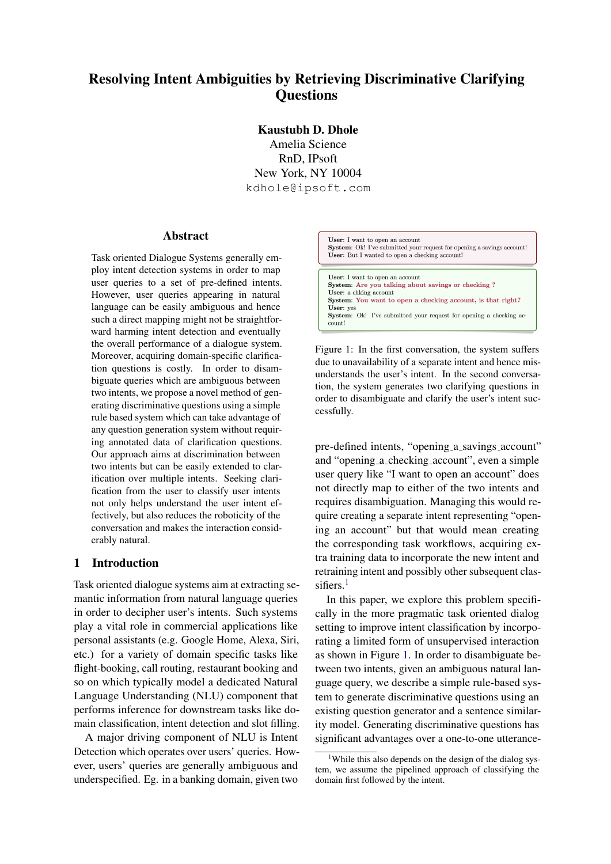# Resolving Intent Ambiguities by Retrieving Discriminative Clarifying **Questions**

Kaustubh D. Dhole Amelia Science RnD, IPsoft New York, NY 10004 kdhole@ipsoft.com

## Abstract

Task oriented Dialogue Systems generally employ intent detection systems in order to map user queries to a set of pre-defined intents. However, user queries appearing in natural language can be easily ambiguous and hence such a direct mapping might not be straightforward harming intent detection and eventually the overall performance of a dialogue system. Moreover, acquiring domain-specific clarification questions is costly. In order to disambiguate queries which are ambiguous between two intents, we propose a novel method of generating discriminative questions using a simple rule based system which can take advantage of any question generation system without requiring annotated data of clarification questions. Our approach aims at discrimination between two intents but can be easily extended to clarification over multiple intents. Seeking clarification from the user to classify user intents not only helps understand the user intent effectively, but also reduces the roboticity of the conversation and makes the interaction considerably natural.

#### 1 Introduction

Task oriented dialogue systems aim at extracting semantic information from natural language queries in order to decipher user's intents. Such systems play a vital role in commercial applications like personal assistants (e.g. Google Home, Alexa, Siri, etc.) for a variety of domain specific tasks like flight-booking, call routing, restaurant booking and so on which typically model a dedicated Natural Language Understanding (NLU) component that performs inference for downstream tasks like domain classification, intent detection and slot filling.

A major driving component of NLU is Intent Detection which operates over users' queries. However, users' queries are generally ambiguous and underspecified. Eg. in a banking domain, given two

<span id="page-0-1"></span>

User: a chking account System: You want to open a checking account, is that right? User: yes System: Ok! I've submitted your request for opening a checking account!

Figure 1: In the first conversation, the system suffers due to unavailability of a separate intent and hence misunderstands the user's intent. In the second conversation, the system generates two clarifying questions in order to disambiguate and clarify the user's intent successfully.

pre-defined intents, "opening a savings account" and "opening a checking account", even a simple user query like "I want to open an account" does not directly map to either of the two intents and requires disambiguation. Managing this would require creating a separate intent representing "opening an account" but that would mean creating the corresponding task workflows, acquiring extra training data to incorporate the new intent and retraining intent and possibly other subsequent clas-sifiers.<sup>[1](#page-0-0)</sup>

In this paper, we explore this problem specifically in the more pragmatic task oriented dialog setting to improve intent classification by incorporating a limited form of unsupervised interaction as shown in Figure [1.](#page-0-1) In order to disambiguate between two intents, given an ambiguous natural language query, we describe a simple rule-based system to generate discriminative questions using an existing question generator and a sentence similarity model. Generating discriminative questions has significant advantages over a one-to-one utterance-

<span id="page-0-0"></span><sup>&</sup>lt;sup>1</sup>While this also depends on the design of the dialog system, we assume the pipelined approach of classifying the domain first followed by the intent.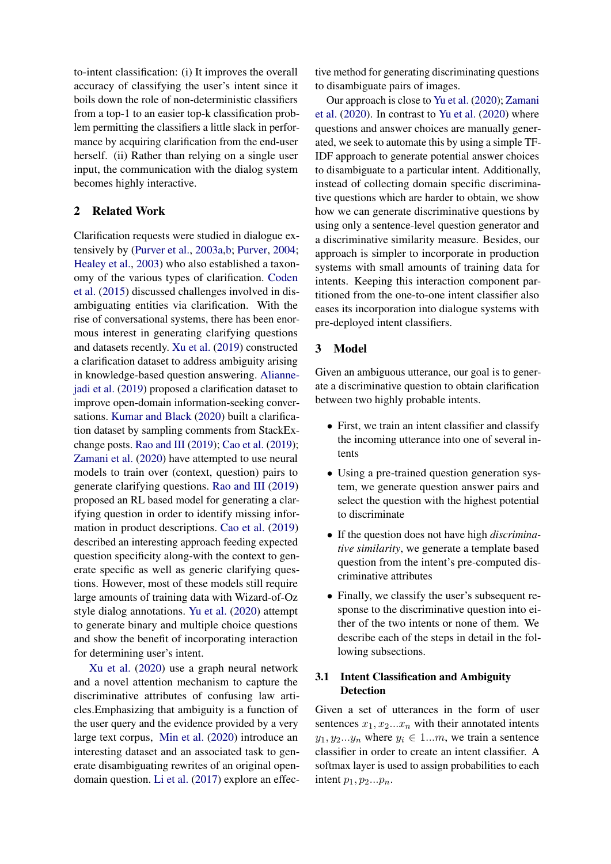to-intent classification: (i) It improves the overall accuracy of classifying the user's intent since it boils down the role of non-deterministic classifiers from a top-1 to an easier top-k classification problem permitting the classifiers a little slack in performance by acquiring clarification from the end-user herself. (ii) Rather than relying on a single user input, the communication with the dialog system becomes highly interactive.

# 2 Related Work

Clarification requests were studied in dialogue extensively by [\(Purver et al.,](#page-6-0) [2003a](#page-6-0)[,b;](#page-6-1) [Purver,](#page-6-2) [2004;](#page-6-2) [Healey et al.,](#page-5-0) [2003\)](#page-5-0) who also established a taxonomy of the various types of clarification. [Coden](#page-5-1) [et al.](#page-5-1) [\(2015\)](#page-5-1) discussed challenges involved in disambiguating entities via clarification. With the rise of conversational systems, there has been enormous interest in generating clarifying questions and datasets recently. [Xu et al.](#page-6-3) [\(2019\)](#page-6-3) constructed a clarification dataset to address ambiguity arising in knowledge-based question answering. [Alianne](#page-5-2)[jadi et al.](#page-5-2) [\(2019\)](#page-5-2) proposed a clarification dataset to improve open-domain information-seeking conversations. [Kumar and Black](#page-6-4) [\(2020\)](#page-6-4) built a clarification dataset by sampling comments from StackExchange posts. [Rao and III](#page-6-5) [\(2019\)](#page-6-5); [Cao et al.](#page-5-3) [\(2019\)](#page-5-3); [Zamani et al.](#page-6-6) [\(2020\)](#page-6-6) have attempted to use neural models to train over (context, question) pairs to generate clarifying questions. [Rao and III](#page-6-5) [\(2019\)](#page-6-5) proposed an RL based model for generating a clarifying question in order to identify missing information in product descriptions. [Cao et al.](#page-5-3) [\(2019\)](#page-5-3) described an interesting approach feeding expected question specificity along-with the context to generate specific as well as generic clarifying questions. However, most of these models still require large amounts of training data with Wizard-of-Oz style dialog annotations. [Yu et al.](#page-6-7) [\(2020\)](#page-6-7) attempt to generate binary and multiple choice questions and show the benefit of incorporating interaction for determining user's intent.

[Xu et al.](#page-6-8) [\(2020\)](#page-6-8) use a graph neural network and a novel attention mechanism to capture the discriminative attributes of confusing law articles.Emphasizing that ambiguity is a function of the user query and the evidence provided by a very large text corpus, [Min et al.](#page-6-9) [\(2020\)](#page-6-9) introduce an interesting dataset and an associated task to generate disambiguating rewrites of an original opendomain question. [Li et al.](#page-6-10) [\(2017\)](#page-6-10) explore an effective method for generating discriminating questions to disambiguate pairs of images.

Our approach is close to [Yu et al.](#page-6-7) [\(2020\)](#page-6-7); [Zamani](#page-6-6) [et al.](#page-6-6) [\(2020\)](#page-6-6). In contrast to [Yu et al.](#page-6-7) [\(2020\)](#page-6-7) where questions and answer choices are manually generated, we seek to automate this by using a simple TF-IDF approach to generate potential answer choices to disambiguate to a particular intent. Additionally, instead of collecting domain specific discriminative questions which are harder to obtain, we show how we can generate discriminative questions by using only a sentence-level question generator and a discriminative similarity measure. Besides, our approach is simpler to incorporate in production systems with small amounts of training data for intents. Keeping this interaction component partitioned from the one-to-one intent classifier also eases its incorporation into dialogue systems with pre-deployed intent classifiers.

## 3 Model

Given an ambiguous utterance, our goal is to generate a discriminative question to obtain clarification between two highly probable intents.

- First, we train an intent classifier and classify the incoming utterance into one of several intents
- Using a pre-trained question generation system, we generate question answer pairs and select the question with the highest potential to discriminate
- If the question does not have high *discriminative similarity*, we generate a template based question from the intent's pre-computed discriminative attributes
- Finally, we classify the user's subsequent response to the discriminative question into either of the two intents or none of them. We describe each of the steps in detail in the following subsections.

# 3.1 Intent Classification and Ambiguity Detection

Given a set of utterances in the form of user sentences  $x_1, x_2...x_n$  with their annotated intents  $y_1, y_2...y_n$  where  $y_i \in 1...m$ , we train a sentence classifier in order to create an intent classifier. A softmax layer is used to assign probabilities to each intent  $p_1, p_2...p_n$ .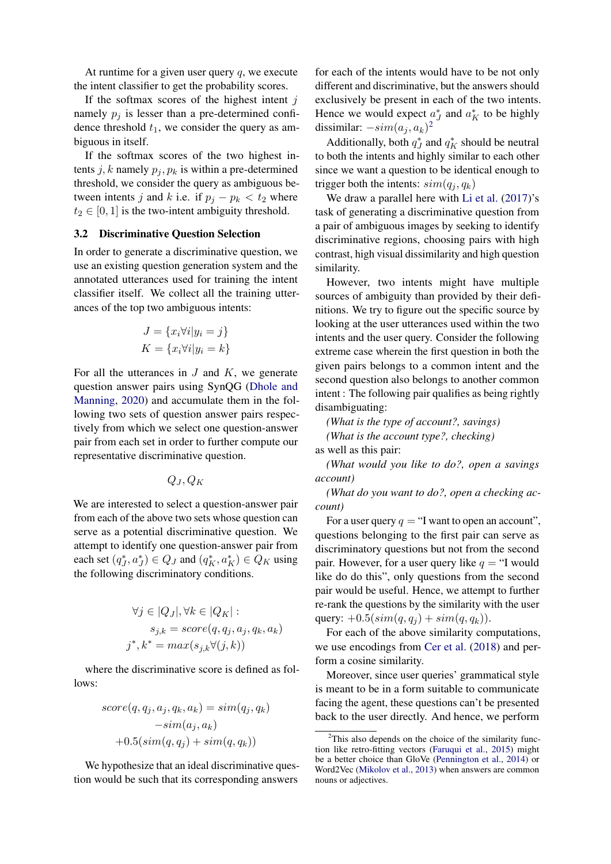At runtime for a given user query  $q$ , we execute the intent classifier to get the probability scores.

If the softmax scores of the highest intent  $j$ namely  $p_i$  is lesser than a pre-determined confidence threshold  $t_1$ , we consider the query as ambiguous in itself.

If the softmax scores of the two highest intents j, k namely  $p_i, p_k$  is within a pre-determined threshold, we consider the query as ambiguous between intents j and k i.e. if  $p_i - p_k < t_2$  where  $t_2 \in [0, 1]$  is the two-intent ambiguity threshold.

#### <span id="page-2-1"></span>3.2 Discriminative Question Selection

In order to generate a discriminative question, we use an existing question generation system and the annotated utterances used for training the intent classifier itself. We collect all the training utterances of the top two ambiguous intents:

$$
J = \{x_i \forall i | y_i = j\}
$$
  

$$
K = \{x_i \forall i | y_i = k\}
$$

For all the utterances in  $J$  and  $K$ , we generate question answer pairs using SynQG [\(Dhole and](#page-5-4) [Manning,](#page-5-4) [2020\)](#page-5-4) and accumulate them in the following two sets of question answer pairs respectively from which we select one question-answer pair from each set in order to further compute our representative discriminative question.

$$
Q_J, Q_K
$$

We are interested to select a question-answer pair from each of the above two sets whose question can serve as a potential discriminative question. We attempt to identify one question-answer pair from each set  $(q_J^*, a_J^*) \in Q_J$  and  $(q_K^*, a_K^*) \in Q_K$  using the following discriminatory conditions.

$$
\forall j \in |Q_J|, \forall k \in |Q_K| :s_{j,k} = score(q, q_j, a_j, q_k, a_k)j^*, k^* = max(s_{j,k} \forall (j,k))
$$

where the discriminative score is defined as follows:

$$
score(q, q_j, a_j, q_k, a_k) = sim(q_j, q_k)
$$

$$
-sim(a_j, a_k)
$$

$$
+0.5(sin(q, q_j) + sim(q, q_k))
$$

We hypothesize that an ideal discriminative question would be such that its corresponding answers for each of the intents would have to be not only different and discriminative, but the answers should exclusively be present in each of the two intents. Hence we would expect  $a_J^*$  and  $a_K^*$  to be highly dissimilar:  $-sim(a_j, a_k)^2$  $-sim(a_j, a_k)^2$ 

Additionally, both  $q_J^*$  and  $q_K^*$  should be neutral to both the intents and highly similar to each other since we want a question to be identical enough to trigger both the intents:  $sim(q_i, q_k)$ 

We draw a parallel here with [Li et al.](#page-6-10)  $(2017)$ 's task of generating a discriminative question from a pair of ambiguous images by seeking to identify discriminative regions, choosing pairs with high contrast, high visual dissimilarity and high question similarity.

However, two intents might have multiple sources of ambiguity than provided by their definitions. We try to figure out the specific source by looking at the user utterances used within the two intents and the user query. Consider the following extreme case wherein the first question in both the given pairs belongs to a common intent and the second question also belongs to another common intent : The following pair qualifies as being rightly disambiguating:

*(What is the type of account?, savings) (What is the account type?, checking)*

as well as this pair:

*(What would you like to do?, open a savings account)*

*(What do you want to do?, open a checking account)*

For a user query  $q = \text{``I}$  want to open an account", questions belonging to the first pair can serve as discriminatory questions but not from the second pair. However, for a user query like  $q = "I$  would like do do this", only questions from the second pair would be useful. Hence, we attempt to further re-rank the questions by the similarity with the user query:  $+0.5(\text{sim}(q, q_i) + \text{sim}(q, q_k)).$ 

For each of the above similarity computations, we use encodings from [Cer et al.](#page-5-5) [\(2018\)](#page-5-5) and perform a cosine similarity.

Moreover, since user queries' grammatical style is meant to be in a form suitable to communicate facing the agent, these questions can't be presented back to the user directly. And hence, we perform

<span id="page-2-0"></span> $2$ This also depends on the choice of the similarity function like retro-fitting vectors [\(Faruqui et al.,](#page-5-6) [2015\)](#page-5-6) might be a better choice than GloVe [\(Pennington et al.,](#page-6-11) [2014\)](#page-6-11) or Word2Vec [\(Mikolov et al.,](#page-6-12) [2013\)](#page-6-12) when answers are common nouns or adjectives.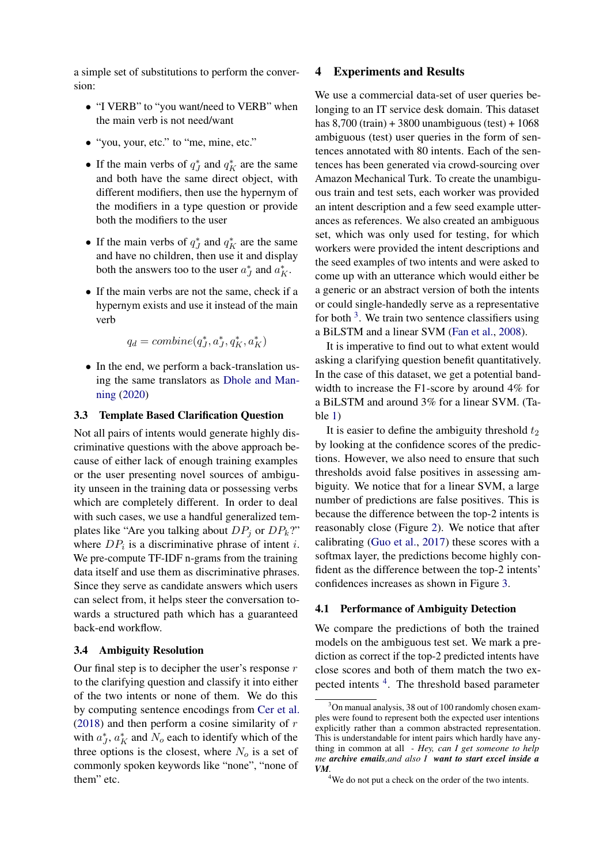a simple set of substitutions to perform the conversion:

- "I VERB" to "you want/need to VERB" when the main verb is not need/want
- "you, your, etc." to "me, mine, etc."
- If the main verbs of  $q_J^*$  and  $q_K^*$  are the same and both have the same direct object, with different modifiers, then use the hypernym of the modifiers in a type question or provide both the modifiers to the user
- If the main verbs of  $q_J^*$  and  $q_K^*$  are the same and have no children, then use it and display both the answers too to the user  $a_J^*$  and  $a_K^*$ .
- If the main verbs are not the same, check if a hypernym exists and use it instead of the main verb

$$
q_d = combine\big(q_J^*, a_J^*, q_K^*, a_K^*\big)
$$

• In the end, we perform a back-translation using the same translators as [Dhole and Man](#page-5-4)[ning](#page-5-4) [\(2020\)](#page-5-4)

#### 3.3 Template Based Clarification Question

Not all pairs of intents would generate highly discriminative questions with the above approach because of either lack of enough training examples or the user presenting novel sources of ambiguity unseen in the training data or possessing verbs which are completely different. In order to deal with such cases, we use a handful generalized templates like "Are you talking about  $DP_i$  or  $DP_k$ ?" where  $DP_i$  is a discriminative phrase of intent *i*. We pre-compute TF-IDF n-grams from the training data itself and use them as discriminative phrases. Since they serve as candidate answers which users can select from, it helps steer the conversation towards a structured path which has a guaranteed back-end workflow.

#### 3.4 Ambiguity Resolution

Our final step is to decipher the user's response  $r$ to the clarifying question and classify it into either of the two intents or none of them. We do this by computing sentence encodings from [Cer et al.](#page-5-5) [\(2018\)](#page-5-5) and then perform a cosine similarity of  $r$ with  $a_J^*$ ,  $a_K^*$  and  $N_o$  each to identify which of the three options is the closest, where  $N<sub>o</sub>$  is a set of commonly spoken keywords like "none", "none of them" etc.

#### 4 Experiments and Results

We use a commercial data-set of user queries belonging to an IT service desk domain. This dataset has  $8,700$  (train) + 3800 unambiguous (test) + 1068 ambiguous (test) user queries in the form of sentences annotated with 80 intents. Each of the sentences has been generated via crowd-sourcing over Amazon Mechanical Turk. To create the unambiguous train and test sets, each worker was provided an intent description and a few seed example utterances as references. We also created an ambiguous set, which was only used for testing, for which workers were provided the intent descriptions and the seed examples of two intents and were asked to come up with an utterance which would either be a generic or an abstract version of both the intents or could single-handedly serve as a representative for both  $3$ . We train two sentence classifiers using a BiLSTM and a linear SVM [\(Fan et al.,](#page-5-7) [2008\)](#page-5-7).

It is imperative to find out to what extent would asking a clarifying question benefit quantitatively. In the case of this dataset, we get a potential bandwidth to increase the F1-score by around 4% for a BiLSTM and around 3% for a linear SVM. (Table [1\)](#page-4-0)

It is easier to define the ambiguity threshold  $t_2$ by looking at the confidence scores of the predictions. However, we also need to ensure that such thresholds avoid false positives in assessing ambiguity. We notice that for a linear SVM, a large number of predictions are false positives. This is because the difference between the top-2 intents is reasonably close (Figure [2\)](#page-4-1). We notice that after calibrating [\(Guo et al.,](#page-5-8) [2017\)](#page-5-8) these scores with a softmax layer, the predictions become highly confident as the difference between the top-2 intents' confidences increases as shown in Figure [3.](#page-4-2)

#### 4.1 Performance of Ambiguity Detection

We compare the predictions of both the trained models on the ambiguous test set. We mark a prediction as correct if the top-2 predicted intents have close scores and both of them match the two ex-pected intents <sup>[4](#page-3-1)</sup>. The threshold based parameter

<span id="page-3-0"></span><sup>&</sup>lt;sup>3</sup>On manual analysis, 38 out of 100 randomly chosen examples were found to represent both the expected user intentions explicitly rather than a common abstracted representation. This is understandable for intent pairs which hardly have anything in common at all *- Hey, can I get someone to help me archive emails,and also I want to start excel inside a VM.*

<span id="page-3-1"></span><sup>&</sup>lt;sup>4</sup>We do not put a check on the order of the two intents.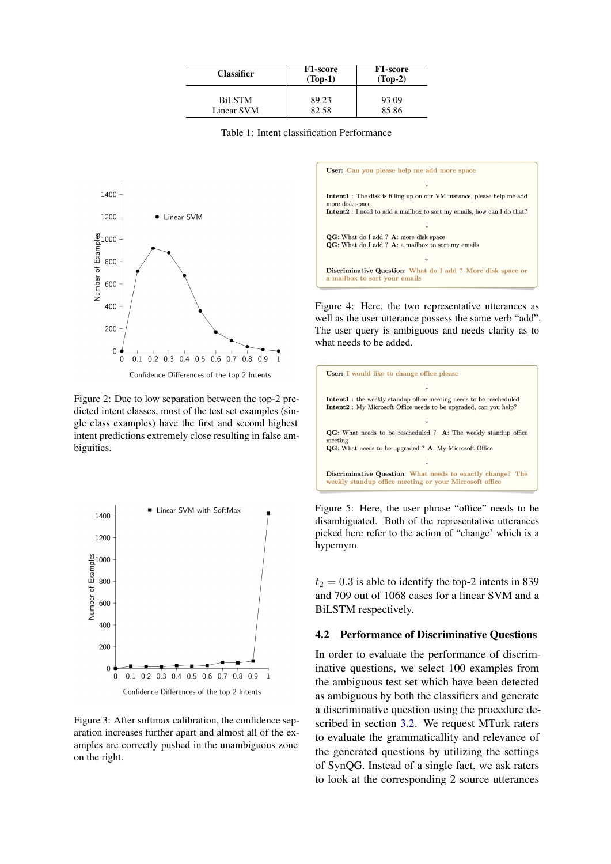<span id="page-4-0"></span>

| <b>Classifier</b> | F <sub>1</sub> -score<br>$(Top-1)$ | <b>F1-score</b><br>$(Top-2)$ |
|-------------------|------------------------------------|------------------------------|
| <b>BiLSTM</b>     | 89.23                              | 93.09                        |
| Linear SVM        | 82.58                              | 85.86                        |

Table 1: Intent classification Performance

<span id="page-4-1"></span>

Figure 2: Due to low separation between the top-2 predicted intent classes, most of the test set examples (single class examples) have the first and second highest intent predictions extremely close resulting in false ambiguities.

<span id="page-4-2"></span>

Figure 3: After softmax calibration, the confidence separation increases further apart and almost all of the examples are correctly pushed in the unambiguous zone on the right.

<span id="page-4-3"></span>

Figure 4: Here, the two representative utterances as well as the user utterance possess the same verb "add". The user query is ambiguous and needs clarity as to what needs to be added.



Figure 5: Here, the user phrase "office" needs to be disambiguated. Both of the representative utterances picked here refer to the action of "change' which is a hypernym.

 $t_2 = 0.3$  is able to identify the top-2 intents in 839 and 709 out of 1068 cases for a linear SVM and a BiLSTM respectively.

#### 4.2 Performance of Discriminative Questions

In order to evaluate the performance of discriminative questions, we select 100 examples from the ambiguous test set which have been detected as ambiguous by both the classifiers and generate a discriminative question using the procedure described in section [3.2.](#page-2-1) We request MTurk raters to evaluate the grammaticallity and relevance of the generated questions by utilizing the settings of SynQG. Instead of a single fact, we ask raters to look at the corresponding 2 source utterances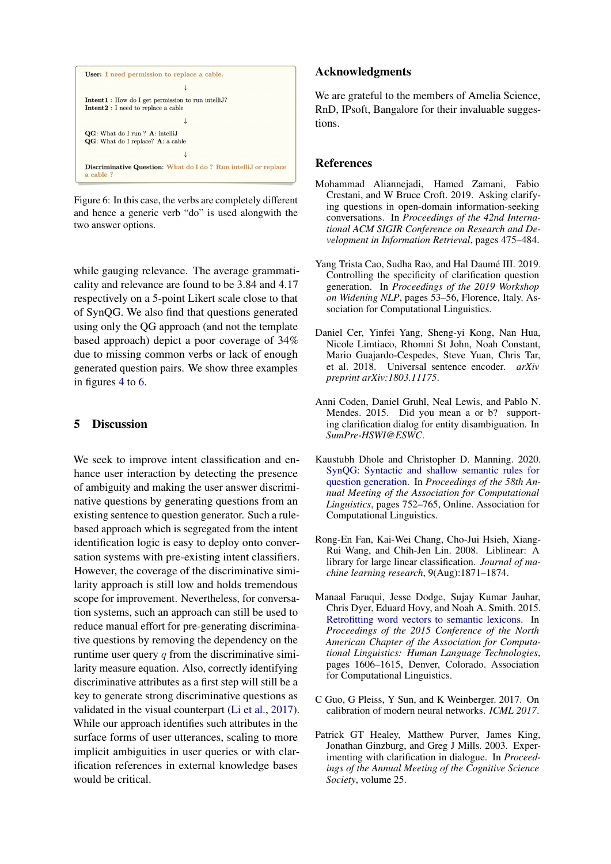<span id="page-5-9"></span>

Figure 6: In this case, the verbs are completely different and hence a generic verb "do" is used alongwith the two answer options.

while gauging relevance. The average grammaticality and relevance are found to be 3.84 and 4.17 respectively on a 5-point Likert scale close to that of SynQG. We also find that questions generated using only the QG approach (and not the template based approach) depict a poor coverage of 34% due to missing common verbs or lack of enough generated question pairs. We show three examples in figures [4](#page-4-3) to [6.](#page-5-9)

# 5 Discussion

We seek to improve intent classification and enhance user interaction by detecting the presence of ambiguity and making the user answer discriminative questions by generating questions from an existing sentence to question generator. Such a rulebased approach which is segregated from the intent identification logic is easy to deploy onto conversation systems with pre-existing intent classifiers. However, the coverage of the discriminative similarity approach is still low and holds tremendous scope for improvement. Nevertheless, for conversation systems, such an approach can still be used to reduce manual effort for pre-generating discriminative questions by removing the dependency on the runtime user query  $q$  from the discriminative similarity measure equation. Also, correctly identifying discriminative attributes as a first step will still be a key to generate strong discriminative questions as validated in the visual counterpart [\(Li et al.,](#page-6-10) [2017\)](#page-6-10). While our approach identifies such attributes in the surface forms of user utterances, scaling to more implicit ambiguities in user queries or with clarification references in external knowledge bases would be critical.

## Acknowledgments

We are grateful to the members of Amelia Science, RnD, IPsoft, Bangalore for their invaluable suggestions.

#### References

- <span id="page-5-2"></span>Mohammad Aliannejadi, Hamed Zamani, Fabio Crestani, and W Bruce Croft. 2019. Asking clarifying questions in open-domain information-seeking conversations. In *Proceedings of the 42nd International ACM SIGIR Conference on Research and Development in Information Retrieval*, pages 475–484.
- <span id="page-5-3"></span>Yang Trista Cao, Sudha Rao, and Hal Daumé III. 2019. Controlling the specificity of clarification question generation. In *Proceedings of the 2019 Workshop on Widening NLP*, pages 53–56, Florence, Italy. Association for Computational Linguistics.
- <span id="page-5-5"></span>Daniel Cer, Yinfei Yang, Sheng-yi Kong, Nan Hua, Nicole Limtiaco, Rhomni St John, Noah Constant, Mario Guajardo-Cespedes, Steve Yuan, Chris Tar, et al. 2018. Universal sentence encoder. *arXiv preprint arXiv:1803.11175*.
- <span id="page-5-1"></span>Anni Coden, Daniel Gruhl, Neal Lewis, and Pablo N. Mendes. 2015. Did you mean a or b? supporting clarification dialog for entity disambiguation. In *SumPre-HSWI@ESWC*.
- <span id="page-5-4"></span>Kaustubh Dhole and Christopher D. Manning. 2020. [SynQG: Syntactic and shallow semantic rules for](https://www.aclweb.org/anthology/2020.acl-main.69) [question generation.](https://www.aclweb.org/anthology/2020.acl-main.69) In *Proceedings of the 58th Annual Meeting of the Association for Computational Linguistics*, pages 752–765, Online. Association for Computational Linguistics.
- <span id="page-5-7"></span>Rong-En Fan, Kai-Wei Chang, Cho-Jui Hsieh, Xiang-Rui Wang, and Chih-Jen Lin. 2008. Liblinear: A library for large linear classification. *Journal of machine learning research*, 9(Aug):1871–1874.
- <span id="page-5-6"></span>Manaal Faruqui, Jesse Dodge, Sujay Kumar Jauhar, Chris Dyer, Eduard Hovy, and Noah A. Smith. 2015. [Retrofitting word vectors to semantic lexicons.](https://doi.org/10.3115/v1/N15-1184) In *Proceedings of the 2015 Conference of the North American Chapter of the Association for Computational Linguistics: Human Language Technologies*, pages 1606–1615, Denver, Colorado. Association for Computational Linguistics.
- <span id="page-5-8"></span>C Guo, G Pleiss, Y Sun, and K Weinberger. 2017. On calibration of modern neural networks. *ICML 2017*.
- <span id="page-5-0"></span>Patrick GT Healey, Matthew Purver, James King, Jonathan Ginzburg, and Greg J Mills. 2003. Experimenting with clarification in dialogue. In *Proceedings of the Annual Meeting of the Cognitive Science Society*, volume 25.